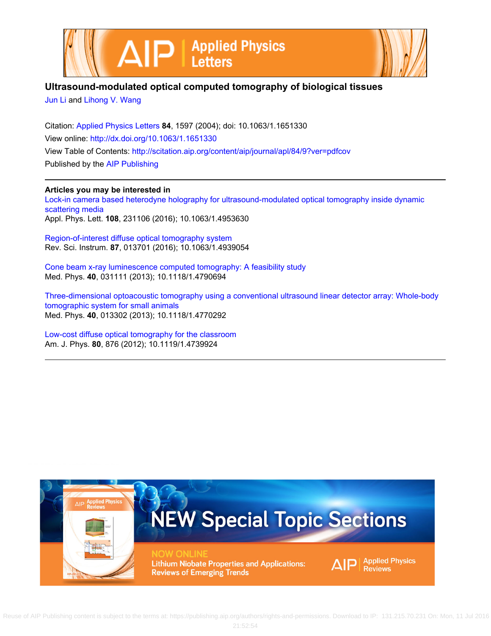



## **Ultrasound-modulated optical computed tomography of biological tissues**

[Jun Li](http://scitation.aip.org/search?value1=Jun+Li&option1=author) and [Lihong V. Wang](http://scitation.aip.org/search?value1=Lihong+V.+Wang&option1=author)

Citation: [Applied Physics Letters](http://scitation.aip.org/content/aip/journal/apl?ver=pdfcov) **84**, 1597 (2004); doi: 10.1063/1.1651330 View online: <http://dx.doi.org/10.1063/1.1651330> View Table of Contents: <http://scitation.aip.org/content/aip/journal/apl/84/9?ver=pdfcov> Published by the [AIP Publishing](http://scitation.aip.org/content/aip?ver=pdfcov)

## **Articles you may be interested in**

[Lock-in camera based heterodyne holography for ultrasound-modulated optical tomography inside dynamic](http://scitation.aip.org/content/aip/journal/apl/108/23/10.1063/1.4953630?ver=pdfcov) [scattering media](http://scitation.aip.org/content/aip/journal/apl/108/23/10.1063/1.4953630?ver=pdfcov) Appl. Phys. Lett. **108**, 231106 (2016); 10.1063/1.4953630

[Region-of-interest diffuse optical tomography system](http://scitation.aip.org/content/aip/journal/rsi/87/1/10.1063/1.4939054?ver=pdfcov) Rev. Sci. Instrum. **87**, 013701 (2016); 10.1063/1.4939054

[Cone beam x-ray luminescence computed tomography: A feasibility study](http://scitation.aip.org/content/aapm/journal/medphys/40/3/10.1118/1.4790694?ver=pdfcov) Med. Phys. **40**, 031111 (2013); 10.1118/1.4790694

[Three-dimensional optoacoustic tomography using a conventional ultrasound linear detector array: Whole-body](http://scitation.aip.org/content/aapm/journal/medphys/40/1/10.1118/1.4770292?ver=pdfcov) [tomographic system for small animals](http://scitation.aip.org/content/aapm/journal/medphys/40/1/10.1118/1.4770292?ver=pdfcov) Med. Phys. **40**, 013302 (2013); 10.1118/1.4770292

[Low-cost diffuse optical tomography for the classroom](http://scitation.aip.org/content/aapt/journal/ajp/80/10/10.1119/1.4739924?ver=pdfcov) Am. J. Phys. **80**, 876 (2012); 10.1119/1.4739924

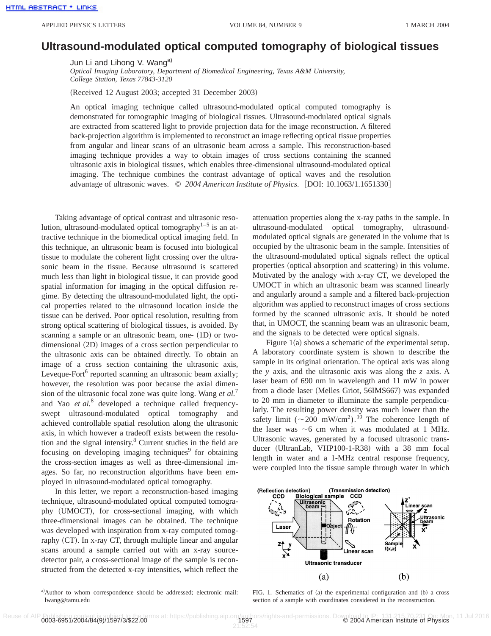## **Ultrasound-modulated optical computed tomography of biological tissues**

Jun Li and Lihong V. Wang<sup>a)</sup>

*Optical Imaging Laboratory, Department of Biomedical Engineering, Texas A&M University, College Station, Texas 77843-3120*

(Received 12 August 2003; accepted 31 December 2003)

An optical imaging technique called ultrasound-modulated optical computed tomography is demonstrated for tomographic imaging of biological tissues. Ultrasound-modulated optical signals are extracted from scattered light to provide projection data for the image reconstruction. A filtered back-projection algorithm is implemented to reconstruct an image reflecting optical tissue properties from angular and linear scans of an ultrasonic beam across a sample. This reconstruction-based imaging technique provides a way to obtain images of cross sections containing the scanned ultrasonic axis in biological tissues, which enables three-dimensional ultrasound-modulated optical imaging. The technique combines the contrast advantage of optical waves and the resolution advantage of ultrasonic waves. © 2004 American Institute of Physics. [DOI: 10.1063/1.1651330]

Taking advantage of optical contrast and ultrasonic resolution, ultrasound-modulated optical tomography $1-5$  is an attractive technique in the biomedical optical imaging field. In this technique, an ultrasonic beam is focused into biological tissue to modulate the coherent light crossing over the ultrasonic beam in the tissue. Because ultrasound is scattered much less than light in biological tissue, it can provide good spatial information for imaging in the optical diffusion regime. By detecting the ultrasound-modulated light, the optical properties related to the ultrasound location inside the tissue can be derived. Poor optical resolution, resulting from strong optical scattering of biological tissues, is avoided. By scanning a sample or an ultrasonic beam, one-  $(1D)$  or twodimensional  $(2D)$  images of a cross section perpendicular to the ultrasonic axis can be obtained directly. To obtain an image of a cross section containing the ultrasonic axis, Leveque-Fort<sup>6</sup> reported scanning an ultrasonic beam axially; however, the resolution was poor because the axial dimension of the ultrasonic focal zone was quite long. Wang *et al.*<sup>7</sup> and Yao *et al.*<sup>8</sup> developed a technique called frequencyswept ultrasound-modulated optical tomography and achieved controllable spatial resolution along the ultrasonic axis, in which however a tradeoff exists between the resolution and the signal intensity.8 Current studies in the field are focusing on developing imaging techniques $9$  for obtaining the cross-section images as well as three-dimensional images. So far, no reconstruction algorithms have been employed in ultrasound-modulated optical tomography.

In this letter, we report a reconstruction-based imaging technique, ultrasound-modulated optical computed tomography (UMOCT), for cross-sectional imaging, with which three-dimensional images can be obtained. The technique was developed with inspiration from x-ray computed tomography  $(CT)$ . In x-ray CT, through multiple linear and angular scans around a sample carried out with an x-ray sourcedetector pair, a cross-sectional image of the sample is reconstructed from the detected x-ray intensities, which reflect the attenuation properties along the x-ray paths in the sample. In ultrasound-modulated optical tomography, ultrasoundmodulated optical signals are generated in the volume that is occupied by the ultrasonic beam in the sample. Intensities of the ultrasound-modulated optical signals reflect the optical properties (optical absorption and scattering) in this volume. Motivated by the analogy with x-ray CT, we developed the UMOCT in which an ultrasonic beam was scanned linearly and angularly around a sample and a filtered back-projection algorithm was applied to reconstruct images of cross sections formed by the scanned ultrasonic axis. It should be noted that, in UMOCT, the scanning beam was an ultrasonic beam, and the signals to be detected were optical signals.

Figure  $1(a)$  shows a schematic of the experimental setup. A laboratory coordinate system is shown to describe the sample in its original orientation. The optical axis was along the *y* axis, and the ultrasonic axis was along the *z* axis. A laser beam of 690 nm in wavelength and 11 mW in power from a diode laser (Melles Griot, 56IMS667) was expanded to 20 mm in diameter to illuminate the sample perpendicularly. The resulting power density was much lower than the safety limit ( $\sim 200 \text{ mW/cm}^2$ ).<sup>10</sup> The coherence length of the laser was  $\sim$ 6 cm when it was modulated at 1 MHz. Ultrasonic waves, generated by a focused ultrasonic transducer (UltranLab, VHP100-1-R38) with a 38 mm focal length in water and a 1-MHz central response frequency, were coupled into the tissue sample through water in which



FIG. 1. Schematics of (a) the experimental configuration and (b) a cross section of a sample with coordinates considered in the reconstruction.

a)Author to whom correspondence should be addressed; electronic mail: lwang@tamu.edu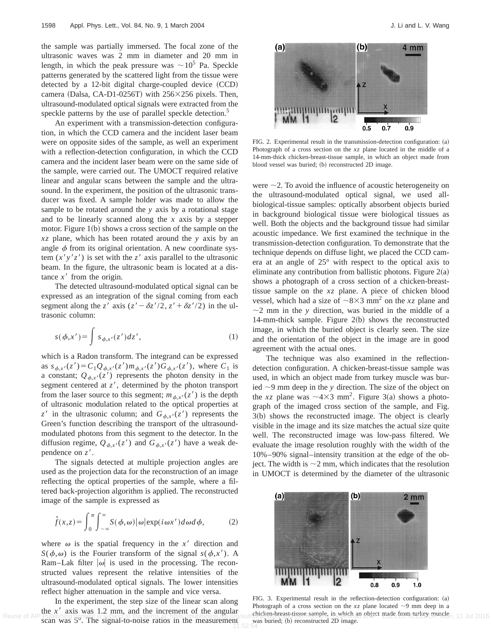the sample was partially immersed. The focal zone of the ultrasonic waves was 2 mm in diameter and 20 mm in length, in which the peak pressure was  $\sim 10^5$  Pa. Speckle patterns generated by the scattered light from the tissue were detected by a  $12$ -bit digital charge-coupled device  $(CCD)$ camera (Dalsa, CA-D1-0256T) with  $256\times256$  pixels. Then, ultrasound-modulated optical signals were extracted from the speckle patterns by the use of parallel speckle detection.<sup>5</sup>

An experiment with a transmission-detection configuration, in which the CCD camera and the incident laser beam were on opposite sides of the sample, as well an experiment with a reflection-detection configuration, in which the CCD camera and the incident laser beam were on the same side of the sample, were carried out. The UMOCT required relative linear and angular scans between the sample and the ultrasound. In the experiment, the position of the ultrasonic transducer was fixed. A sample holder was made to allow the sample to be rotated around the *y* axis by a rotational stage and to be linearly scanned along the *x* axis by a stepper motor. Figure  $1(b)$  shows a cross section of the sample on the *xz* plane, which has been rotated around the *y* axis by an angle  $\phi$  from its original orientation. A new coordinate system  $(x'y'z')$  is set with the *z'* axis parallel to the ultrasonic beam. In the figure, the ultrasonic beam is located at a distance  $x<sup>3</sup>$  from the origin.

The detected ultrasound-modulated optical signal can be expressed as an integration of the signal coming from each segment along the *z'* axis ( $z' - \delta z'/2$ ,  $z' + \delta z'/2$ ) in the ultrasonic column:

$$
s(\phi, x') = \int s_{\phi, x'}(z') dz', \qquad (1)
$$

which is a Radon transform. The integrand can be expressed as  $s_{\phi,x'}(z') = C_1 Q_{\phi,x'}(z') m_{\phi,x'}(z') G_{\phi,x'}(z')$ , where  $C_1$  is a constant;  $Q_{\phi,x'}(z')$  represents the photon density in the segment centered at  $z'$ , determined by the photon transport from the laser source to this segment;  $m_{\phi, x'}(z')$  is the depth of ultrasonic modulation related to the optical properties at  $z^{\prime}$  in the ultrasonic column; and  $G_{\phi,x^{\prime}}(z^{\prime})$  represents the Green's function describing the transport of the ultrasoundmodulated photons from this segment to the detector. In the diffusion regime,  $Q_{\phi,x'}(z')$  and  $G_{\phi,x'}(z')$  have a weak dependence on  $z'$ .

The signals detected at multiple projection angles are used as the projection data for the reconstruction of an image reflecting the optical properties of the sample, where a filtered back-projection algorithm is applied. The reconstructed image of the sample is expressed as

$$
\hat{f}(x,z) = \int_0^{\pi} \int_{-\infty}^{\infty} S(\phi,\omega) |\omega| \exp(i\omega x') d\omega d\phi, \tag{2}
$$

where  $\omega$  is the spatial frequency in the x' direction and *S*( $\phi, \omega$ ) is the Fourier transform of the signal *s*( $\phi, x'$ ). A Ram–Lak filter  $|\omega|$  is used in the processing. The reconstructed values represent the relative intensities of the ultrasound-modulated optical signals. The lower intensities reflect higher attenuation in the sample and vice versa.

In the experiment, the step size of the linear scan along the  $x<sup>1</sup>$  axis was 1.2 mm, and the increment of the angular scan was 5°. The signal-to-noise ratios in the measurement 21:52:54



FIG. 2. Experimental result in the transmission-detection configuration: (a) Photograph of a cross section on the *xz* plane located in the middle of a 14-mm-thick chicken-breast-tissue sample, in which an object made from blood vessel was buried; (b) reconstructed 2D image.

were  $\sim$  2. To avoid the influence of acoustic heterogeneity on the ultrasound-modulated optical signal, we used allbiological-tissue samples: optically absorbent objects buried in background biological tissue were biological tissues as well. Both the objects and the background tissue had similar acoustic impedance. We first examined the technique in the transmission-detection configuration. To demonstrate that the technique depends on diffuse light, we placed the CCD camera at an angle of 25° with respect to the optical axis to eliminate any contribution from ballistic photons. Figure  $2(a)$ shows a photograph of a cross section of a chicken-breasttissue sample on the *xz* plane. A piece of chicken blood vessel, which had a size of  $\sim 8 \times 3$  mm<sup>2</sup> on the *xz* plane and  $\sim$ 2 mm in the *y* direction, was buried in the middle of a 14-mm-thick sample. Figure  $2(b)$  shows the reconstructed image, in which the buried object is clearly seen. The size and the orientation of the object in the image are in good agreement with the actual ones.

The technique was also examined in the reflectiondetection configuration. A chicken-breast-tissue sample was used, in which an object made from turkey muscle was buried  $\sim$ 9 mm deep in the *y* direction. The size of the object on the *xz* plane was  $\sim$ 4×3 mm<sup>2</sup>. Figure 3(a) shows a photograph of the imaged cross section of the sample, and Fig.  $3(b)$  shows the reconstructed image. The object is clearly visible in the image and its size matches the actual size quite well. The reconstructed image was low-pass filtered. We evaluate the image resolution roughly with the width of the 10%–90% signal–intensity transition at the edge of the object. The width is  $\sim$ 2 mm, which indicates that the resolution in UMOCT is determined by the diameter of the ultrasonic



FIG. 3. Experimental result in the reflection-detection configuration:  $(a)$ Photograph of a cross section on the  $xz$  plane located  $\sim$ 9 mm deep in a Reuse of AIP Publishing content is subject to the terms at https://publishing.ap.org/autibishing.ap.org/autibishing.ap.org/autibishing.ap.org/autibishing.ap.org/autibishing.ap.org/autibishing.ap.org/autibishing.ap.org/auti was buried; (b) reconstructed 2D image.